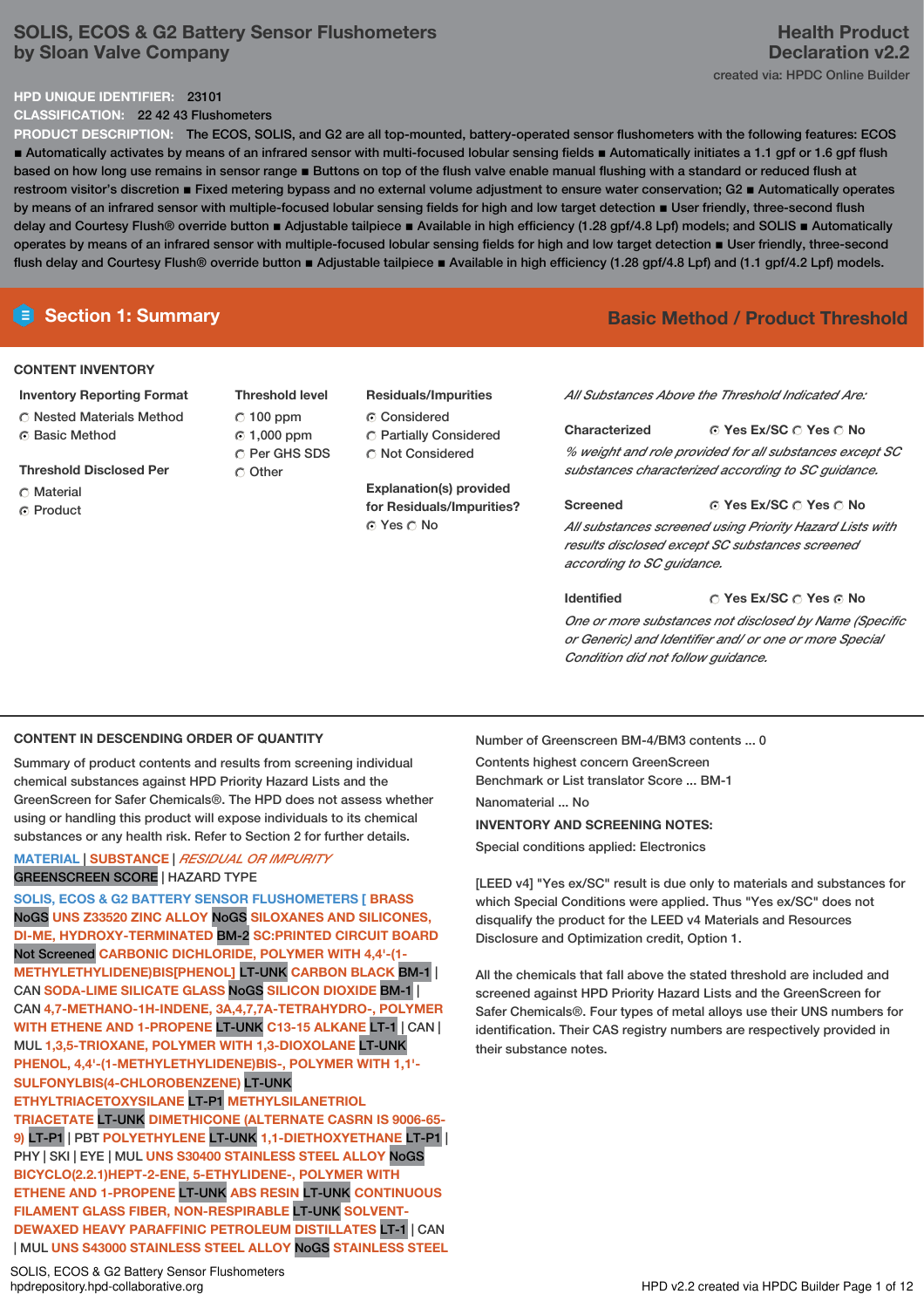# **SOLIS, ECOS & G2 Battery Sensor Flushometers by Sloan Valve Company**

### **HPD UNIQUE IDENTIFIER:** 23101

**CLASSIFICATION:** 22 42 43 Flushometers

**PRODUCT DESCRIPTION:** The ECOS, SOLIS, and G2 are all top-mounted, battery-operated sensor flushometers with the following features: ECOS ■ Automatically activates by means of an infrared sensor with multi-focused lobular sensing fields ■ Automatically initiates a 1.1 gpf or 1.6 gpf flush based on how long use remains in sensor range **E** Buttons on top of the flush valve enable manual flushing with a standard or reduced flush at restroom visitor's discretion ■ Fixed metering bypass and no external volume adjustment to ensure water conservation; G2 ■ Automatically operates by means of an infrared sensor with multiple-focused lobular sensing fields for high and low target detection  $\blacksquare$  User friendly, three-second flush delay and Courtesy Flush® override button ■ Adjustable tailpiece ■ Available in high efficiency (1.28 gpf/4.8 Lpf) models; and SOLIS ■ Automatically operates by means of an infrared sensor with multiple-focused lobular sensing fields for high and low target detection ▪ User friendly, three-second flush delay and Courtesy Flush® override button ■ Adjustable tailpiece ■ Available in high efficiency (1.28 gpf/4.8 Lpf) and (1.1 gpf/4.2 Lpf) models.

# **Section 1: Summary Basic Method / Product Threshold**

### **CONTENT INVENTORY**

- **Inventory Reporting Format**
- **C** Nested Materials Method
- ⊙ Basic Method
- **Threshold Disclosed Per**
- C Material
- **G** Product

**Threshold level**  $C$  100 ppm 1,000 ppm Per GHS SDS C Other

# **Residuals/Impurities**

- C Considered Partially Considered
- Not Considered

**Explanation(s) provided for Residuals/Impurities?** © Yes ∩ No

*All Substances Above the Threshold Indicated Are:*

# **Yes Ex/SC Yes No Characterized** *% weight and role provided for all substances except SC*

*substances characterized according to SC guidance.*

**Yes Ex/SC Yes No**

*All substances screened using Priority Hazard Lists with results disclosed except SC substances screened according to SC guidance.*

#### **Yes Ex/SC Yes No Identified** *One or more substances not disclosed by Name (Specific*

*or Generic) and Identifier and/ or one or more Special Condition did not follow guidance.*

## **CONTENT IN DESCENDING ORDER OF QUANTITY**

Summary of product contents and results from screening individual chemical substances against HPD Priority Hazard Lists and the GreenScreen for Safer Chemicals®. The HPD does not assess whether using or handling this product will expose individuals to its chemical substances or any health risk. Refer to Section 2 for further details.

## **MATERIAL** | **SUBSTANCE** | *RESIDUAL OR IMPURITY* GREENSCREEN SCORE | HAZARD TYPE

**SOLIS, ECOS & G2 BATTERY SENSOR FLUSHOMETERS [ BRASS** NoGS **UNS Z33520 ZINC ALLOY** NoGS **SILOXANES AND SILICONES, DI-ME, HYDROXY-TERMINATED** BM-2 **SC:PRINTED CIRCUIT BOARD** Not Screened **CARBONIC DICHLORIDE, POLYMER WITH 4,4'-(1- METHYLETHYLIDENE)BIS[PHENOL]** LT-UNK **CARBON BLACK** BM-1 | CAN **SODA-LIME SILICATE GLASS** NoGS **SILICON DIOXIDE** BM-1 | CAN **4,7-METHANO-1H-INDENE, 3A,4,7,7A-TETRAHYDRO-, POLYMER WITH ETHENE AND 1-PROPENE** LT-UNK **C13-15 ALKANE** LT-1 | CAN | MUL **1,3,5-TRIOXANE, POLYMER WITH 1,3-DIOXOLANE** LT-UNK **PHENOL, 4,4'-(1-METHYLETHYLIDENE)BIS-, POLYMER WITH 1,1'- SULFONYLBIS(4-CHLOROBENZENE)** LT-UNK **ETHYLTRIACETOXYSILANE** LT-P1 **METHYLSILANETRIOL TRIACETATE** LT-UNK **DIMETHICONE (ALTERNATE CASRN IS 9006-65- 9)** LT-P1 | PBT **POLYETHYLENE** LT-UNK **1,1-DIETHOXYETHANE** LT-P1 | PHY | SKI | EYE | MUL **UNS S30400 STAINLESS STEEL ALLOY** NoGS **BICYCLO(2.2.1)HEPT-2-ENE, 5-ETHYLIDENE-, POLYMER WITH ETHENE AND 1-PROPENE** LT-UNK **ABS RESIN** LT-UNK **CONTINUOUS FILAMENT GLASS FIBER, NON-RESPIRABLE** LT-UNK **SOLVENT-DEWAXED HEAVY PARAFFINIC PETROLEUM DISTILLATES** LT-1 | CAN | MUL **UNS S43000 STAINLESS STEEL ALLOY** NoGS **STAINLESS STEEL**

SOLIS, ECOS & G2 Battery Sensor Flushometers<br>hpdrepository.hpd-collaborative.org

Number of Greenscreen BM-4/BM3 contents ... 0

Contents highest concern GreenScreen Benchmark or List translator Score ... BM-1 Nanomaterial ... No **INVENTORY AND SCREENING NOTES:**

Special conditions applied: Electronics

**Screened**

[LEED v4] "Yes ex/SC" result is due only to materials and substances for which Special Conditions were applied. Thus "Yes ex/SC" does not disqualify the product for the LEED v4 Materials and Resources Disclosure and Optimization credit, Option 1.

All the chemicals that fall above the stated threshold are included and screened against HPD Priority Hazard Lists and the GreenScreen for Safer Chemicals®. Four types of metal alloys use their UNS numbers for identification. Their CAS registry numbers are respectively provided in their substance notes.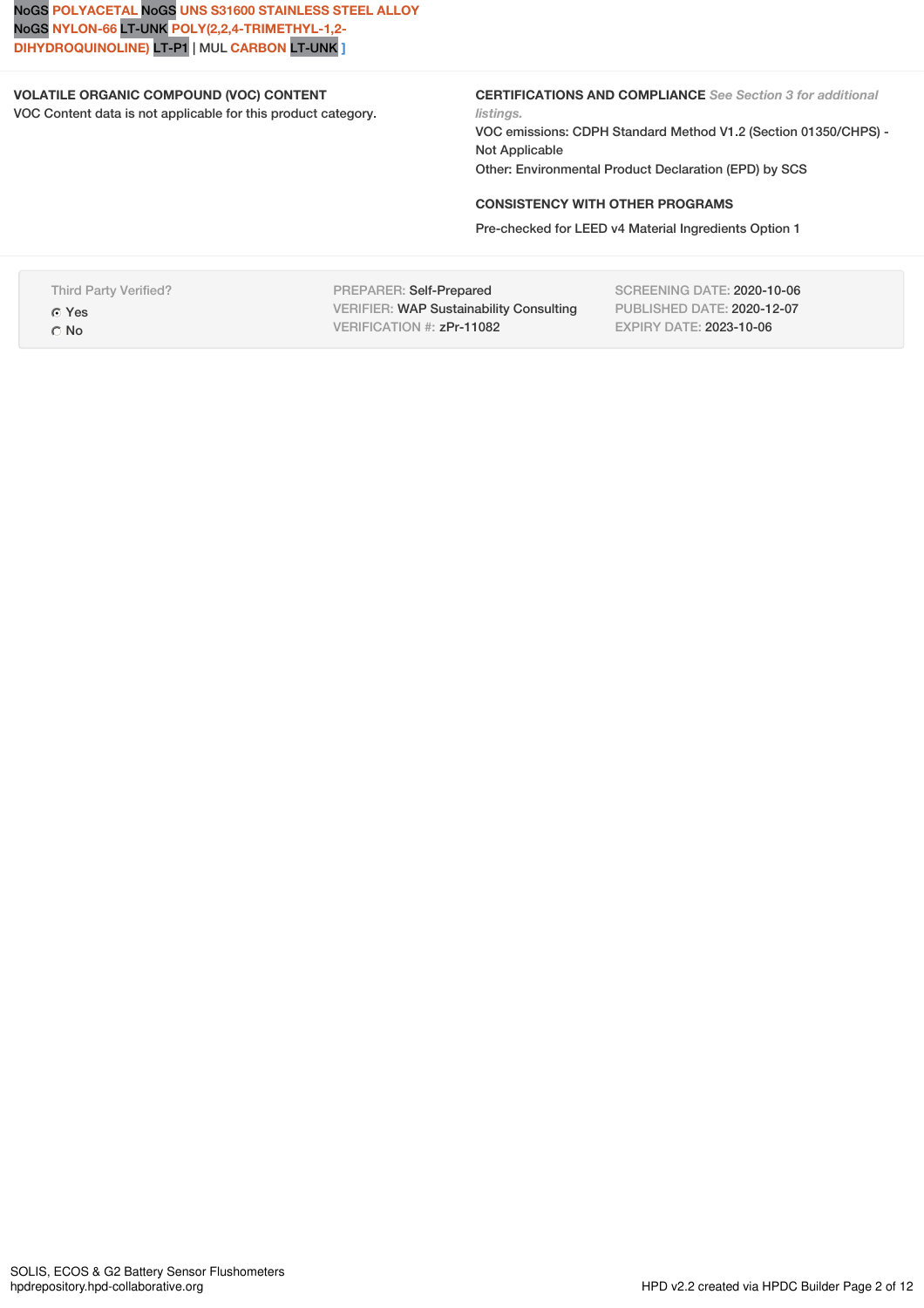NoGS **POLYACETAL** NoGS **UNS S31600 STAINLESS STEEL ALLOY** NoGS **NYLON-66** LT-UNK **POLY(2,2,4-TRIMETHYL-1,2- DIHYDROQUINOLINE)** LT-P1 | MUL **CARBON** LT-UNK **]**

# **VOLATILE ORGANIC COMPOUND (VOC) CONTENT**

VOC Content data is not applicable for this product category.

**CERTIFICATIONS AND COMPLIANCE** *See Section 3 for additional listings.*

VOC emissions: CDPH Standard Method V1.2 (Section 01350/CHPS) - Not Applicable Other: Environmental Product Declaration (EPD) by SCS

## **CONSISTENCY WITH OTHER PROGRAMS**

Pre-checked for LEED v4 Material Ingredients Option 1

Third Party Verified? Yes

O No

PREPARER: Self-Prepared VERIFIER: WAP Sustainability Consulting VERIFICATION #: zPr-11082

SCREENING DATE: 2020-10-06 PUBLISHED DATE: 2020-12-07 EXPIRY DATE: 2023-10-06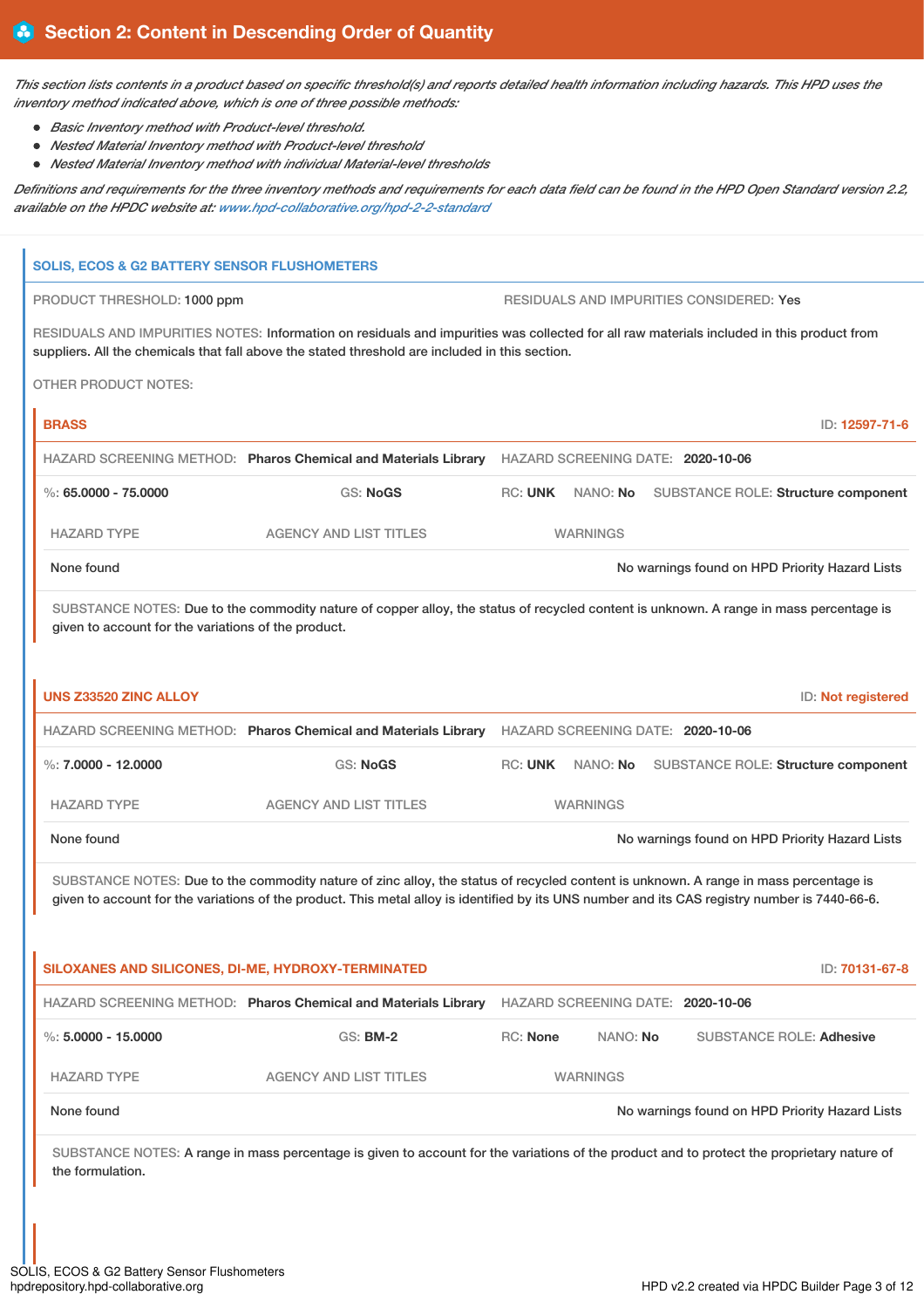This section lists contents in a product based on specific threshold(s) and reports detailed health information including hazards. This HPD uses the *inventory method indicated above, which is one of three possible methods:*

- *Basic Inventory method with Product-level threshold.*
- *Nested Material Inventory method with Product-level threshold*
- *Nested Material Inventory method with individual Material-level thresholds*

Definitions and requirements for the three inventory methods and requirements for each data field can be found in the HPD Open Standard version 2.2, *available on the HPDC website at: [www.hpd-collaborative.org/hpd-2-2-standard](https://www.hpd-collaborative.org/hpd-2-2-standard)*

# **SOLIS, ECOS & G2 BATTERY SENSOR FLUSHOMETERS** PRODUCT THRESHOLD: 1000 ppm RESIDUALS AND IMPURITIES CONSIDERED: Yes RESIDUALS AND IMPURITIES NOTES: Information on residuals and impurities was collected for all raw materials included in this product from suppliers. All the chemicals that fall above the stated threshold are included in this section. OTHER PRODUCT NOTES: **BRASS** ID: **12597-71-6** HAZARD SCREENING METHOD: **Pharos Chemical and Materials Library** HAZARD SCREENING DATE: **2020-10-06** %: **65.0000 - 75.0000** GS: **NoGS** RC: **UNK** NANO: **No** SUBSTANCE ROLE: **Structure component** HAZARD TYPE AGENCY AND LIST TITLES WARNINGS None found Now are the United States of the North American Changes found on HPD Priority Hazard Lists SUBSTANCE NOTES: Due to the commodity nature of copper alloy, the status of recycled content is unknown. A range in mass percentage is given to account for the variations of the product. **UNS Z33520 ZINC ALLOY** ID: **Not registered** HAZARD SCREENING METHOD: **Pharos Chemical and Materials Library** HAZARD SCREENING DATE: **2020-10-06** %: **7.0000 - 12.0000** GS: **NoGS** RC: **UNK** NANO: **No** SUBSTANCE ROLE: **Structure component** HAZARD TYPE **AGENCY AND LIST TITLES** WARNINGS None found Now arrings found on HPD Priority Hazard Lists SUBSTANCE NOTES: Due to the commodity nature of zinc alloy, the status of recycled content is unknown. A range in mass percentage is given to account for the variations of the product. This metal alloy is identified by its UNS number and its CAS registry number is 7440-66-6. **SILOXANES AND SILICONES, DI-ME, HYDROXY-TERMINATED** ID: **70131-67-8** HAZARD SCREENING METHOD: **Pharos Chemical and Materials Library** HAZARD SCREENING DATE: **2020-10-06** %: **5.0000 - 15.0000** GS: **BM-2** RC: **None** NANO: **No** SUBSTANCE ROLE: **Adhesive** HAZARD TYPE AGENCY AND LIST TITLES WARNINGS None found Now are found to the Second Second Second Second Second Second Second Second Second Second Second Second Second Second Second Second Second Second Second Second Second Second Second Second Second Second Second S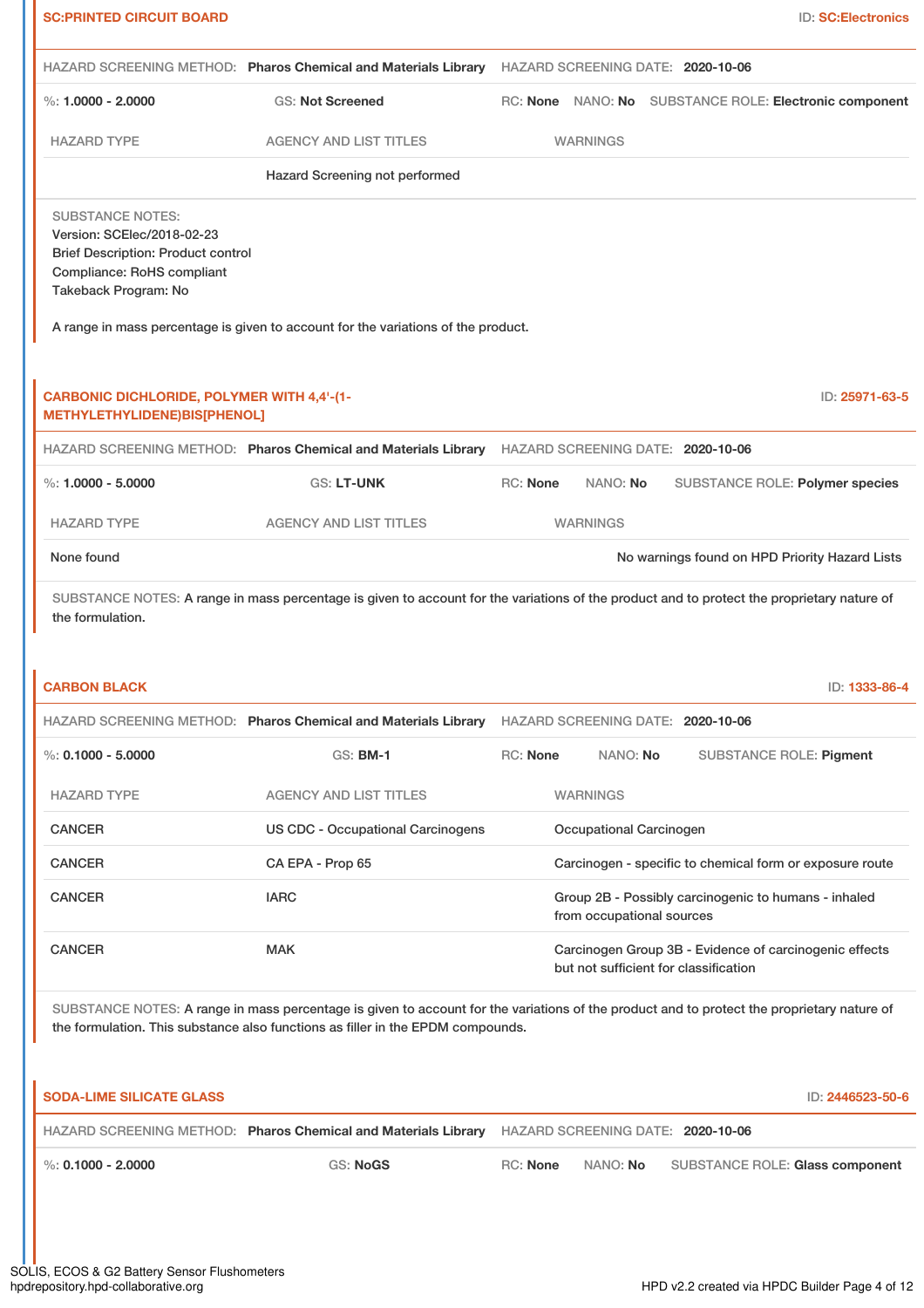|                                                                                                                                                          |                                                                                   | HAZARD SCREENING METHOD: Pharos Chemical and Materials Library HAZARD SCREENING DATE: 2020-10-06                                                                                                                                                                                                                                                                                                                                                                                                                      |
|----------------------------------------------------------------------------------------------------------------------------------------------------------|-----------------------------------------------------------------------------------|-----------------------------------------------------------------------------------------------------------------------------------------------------------------------------------------------------------------------------------------------------------------------------------------------------------------------------------------------------------------------------------------------------------------------------------------------------------------------------------------------------------------------|
| %: $1.0000 - 2.0000$                                                                                                                                     | <b>GS: Not Screened</b>                                                           | RC: None NANO: No SUBSTANCE ROLE: Electronic component                                                                                                                                                                                                                                                                                                                                                                                                                                                                |
| <b>HAZARD TYPE</b>                                                                                                                                       | <b>AGENCY AND LIST TITLES</b>                                                     | <b>WARNINGS</b>                                                                                                                                                                                                                                                                                                                                                                                                                                                                                                       |
|                                                                                                                                                          | Hazard Screening not performed                                                    |                                                                                                                                                                                                                                                                                                                                                                                                                                                                                                                       |
| <b>SUBSTANCE NOTES:</b><br>Version: SCElec/2018-02-23<br><b>Brief Description: Product control</b><br>Compliance: RoHS compliant<br>Takeback Program: No |                                                                                   |                                                                                                                                                                                                                                                                                                                                                                                                                                                                                                                       |
|                                                                                                                                                          | A range in mass percentage is given to account for the variations of the product. |                                                                                                                                                                                                                                                                                                                                                                                                                                                                                                                       |
| <b>CARBONIC DICHLORIDE, POLYMER WITH 4,4'-(1-</b><br>METHYLETHYLIDENE)BIS[PHENOL]                                                                        |                                                                                   | ID: 25971-63-5                                                                                                                                                                                                                                                                                                                                                                                                                                                                                                        |
|                                                                                                                                                          |                                                                                   | HAZARD SCREENING METHOD: Pharos Chemical and Materials Library HAZARD SCREENING DATE: 2020-10-06                                                                                                                                                                                                                                                                                                                                                                                                                      |
| $\%: 1.0000 - 5.0000$                                                                                                                                    | GS: LT-UNK                                                                        | RC: None<br>NANO: No<br>SUBSTANCE ROLE: Polymer species                                                                                                                                                                                                                                                                                                                                                                                                                                                               |
| <b>HAZARD TYPE</b>                                                                                                                                       | <b>AGENCY AND LIST TITLES</b>                                                     | <b>WARNINGS</b>                                                                                                                                                                                                                                                                                                                                                                                                                                                                                                       |
| None found                                                                                                                                               |                                                                                   | No warnings found on HPD Priority Hazard Lists                                                                                                                                                                                                                                                                                                                                                                                                                                                                        |
| the formulation.<br><b>CARBON BLACK</b>                                                                                                                  |                                                                                   |                                                                                                                                                                                                                                                                                                                                                                                                                                                                                                                       |
|                                                                                                                                                          |                                                                                   | HAZARD SCREENING METHOD: Pharos Chemical and Materials Library HAZARD SCREENING DATE: 2020-10-06                                                                                                                                                                                                                                                                                                                                                                                                                      |
| $\%$ : 0.1000 - 5.0000                                                                                                                                   | GS: <b>BM-1</b>                                                                   | RC: None<br>NANO: No<br><b>SUBSTANCE ROLE: Pigment</b>                                                                                                                                                                                                                                                                                                                                                                                                                                                                |
| <b>HAZARD TYPE</b>                                                                                                                                       | <b>AGENCY AND LIST TITLES</b>                                                     | <b>WARNINGS</b>                                                                                                                                                                                                                                                                                                                                                                                                                                                                                                       |
| <b>CANCER</b><br><b>CANCER</b>                                                                                                                           | <b>US CDC - Occupational Carcinogens</b>                                          | Occupational Carcinogen                                                                                                                                                                                                                                                                                                                                                                                                                                                                                               |
| <b>CANCER</b>                                                                                                                                            | CA EPA - Prop 65<br><b>IARC</b>                                                   | from occupational sources                                                                                                                                                                                                                                                                                                                                                                                                                                                                                             |
| <b>CANCER</b>                                                                                                                                            | <b>MAK</b>                                                                        | Group 2B - Possibly carcinogenic to humans - inhaled<br>but not sufficient for classification                                                                                                                                                                                                                                                                                                                                                                                                                         |
|                                                                                                                                                          | the formulation. This substance also functions as filler in the EPDM compounds.   |                                                                                                                                                                                                                                                                                                                                                                                                                                                                                                                       |
| <b>SODA-LIME SILICATE GLASS</b>                                                                                                                          |                                                                                   |                                                                                                                                                                                                                                                                                                                                                                                                                                                                                                                       |
|                                                                                                                                                          |                                                                                   | HAZARD SCREENING METHOD: Pharos Chemical and Materials Library HAZARD SCREENING DATE: 2020-10-06                                                                                                                                                                                                                                                                                                                                                                                                                      |
| $\%$ : 0.1000 - 2.0000                                                                                                                                   | <b>GS: NoGS</b>                                                                   | SUBSTANCE NOTES: A range in mass percentage is given to account for the variations of the product and to protect the proprietary nature of<br>ID: 1333-86-4<br>Carcinogen - specific to chemical form or exposure route<br>Carcinogen Group 3B - Evidence of carcinogenic effects<br>SUBSTANCE NOTES: A range in mass percentage is given to account for the variations of the product and to protect the proprietary nature of<br>ID: 2446523-50-6<br>RC: None<br>NANO: No<br><b>SUBSTANCE ROLE: Glass component</b> |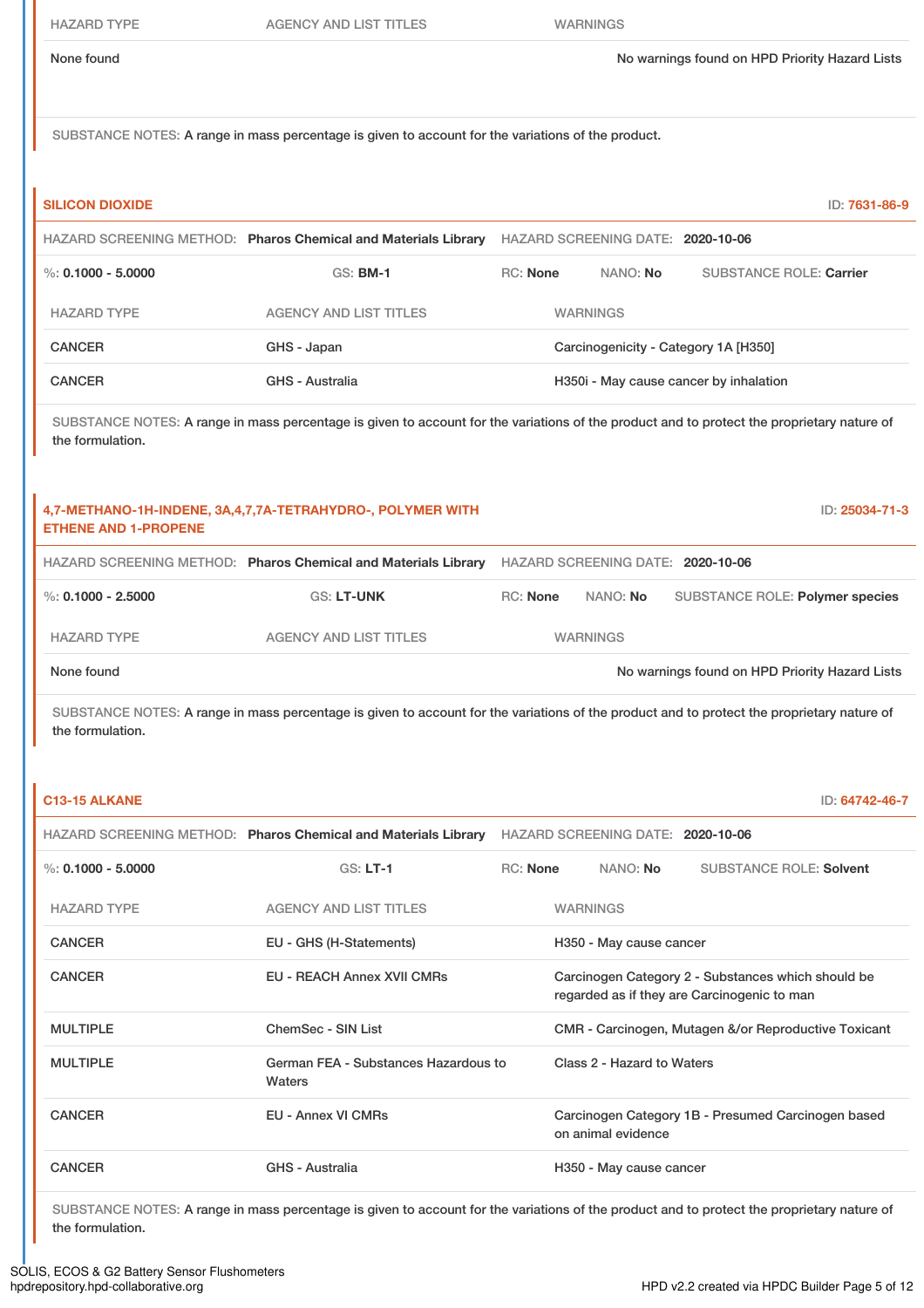HAZARD TYPE AGENCY AND LIST TITLES WARNINGS

SUBSTANCE NOTES: A range in mass percentage is given to account for the variations of the product.

| <b>SILICON DIOXIDE</b>                                                                                                                                         |                                                                                                                                            |                 |  |                            |                                             | ID: 7631-86-9                                        |
|----------------------------------------------------------------------------------------------------------------------------------------------------------------|--------------------------------------------------------------------------------------------------------------------------------------------|-----------------|--|----------------------------|---------------------------------------------|------------------------------------------------------|
|                                                                                                                                                                | HAZARD SCREENING METHOD: Pharos Chemical and Materials Library HAZARD SCREENING DATE: 2020-10-06                                           |                 |  |                            |                                             |                                                      |
| $\%$ : 0.1000 - 5.0000                                                                                                                                         | <b>GS: BM-1</b>                                                                                                                            | <b>RC: None</b> |  | NANO: No                   |                                             | <b>SUBSTANCE ROLE: Carrier</b>                       |
| <b>HAZARD TYPE</b>                                                                                                                                             | <b>AGENCY AND LIST TITLES</b>                                                                                                              |                 |  | <b>WARNINGS</b>            |                                             |                                                      |
| <b>CANCER</b>                                                                                                                                                  | GHS - Japan                                                                                                                                |                 |  |                            | Carcinogenicity - Category 1A [H350]        |                                                      |
| <b>CANCER</b>                                                                                                                                                  | GHS - Australia                                                                                                                            |                 |  |                            | H350i - May cause cancer by inhalation      |                                                      |
| SUBSTANCE NOTES: A range in mass percentage is given to account for the variations of the product and to protect the proprietary nature of<br>the formulation. |                                                                                                                                            |                 |  |                            |                                             |                                                      |
| <b>ETHENE AND 1-PROPENE</b>                                                                                                                                    | 4,7-METHANO-1H-INDENE, 3A,4,7,7A-TETRAHYDRO-, POLYMER WITH                                                                                 |                 |  |                            |                                             | ID: 25034-71-3                                       |
|                                                                                                                                                                | HAZARD SCREENING METHOD: Pharos Chemical and Materials Library HAZARD SCREENING DATE: 2020-10-06                                           |                 |  |                            |                                             |                                                      |
| $\%$ : 0.1000 - 2.5000                                                                                                                                         | <b>GS: LT-UNK</b>                                                                                                                          | RC: None        |  | NANO: No                   |                                             | SUBSTANCE ROLE: Polymer species                      |
| <b>HAZARD TYPE</b>                                                                                                                                             | <b>AGENCY AND LIST TITLES</b>                                                                                                              |                 |  | <b>WARNINGS</b>            |                                             |                                                      |
| None found                                                                                                                                                     |                                                                                                                                            |                 |  |                            |                                             | No warnings found on HPD Priority Hazard Lists       |
| the formulation.                                                                                                                                               | SUBSTANCE NOTES: A range in mass percentage is given to account for the variations of the product and to protect the proprietary nature of |                 |  |                            |                                             |                                                      |
| C13-15 ALKANE                                                                                                                                                  |                                                                                                                                            |                 |  |                            |                                             | ID: 64742-46-7                                       |
|                                                                                                                                                                | HAZARD SCREENING METHOD: Pharos Chemical and Materials Library HAZARD SCREENING DATE: 2020-10-06                                           |                 |  |                            |                                             |                                                      |
| %: $0.1000 - 5.0000$                                                                                                                                           | $GS: LT-1$                                                                                                                                 | <b>RC: None</b> |  | NANO: No                   |                                             | <b>SUBSTANCE ROLE: Solvent</b>                       |
| <b>HAZARD TYPE</b>                                                                                                                                             | <b>AGENCY AND LIST TITLES</b>                                                                                                              |                 |  | <b>WARNINGS</b>            |                                             |                                                      |
| <b>CANCER</b>                                                                                                                                                  | EU - GHS (H-Statements)                                                                                                                    |                 |  | H350 - May cause cancer    |                                             |                                                      |
| <b>CANCER</b>                                                                                                                                                  | <b>EU - REACH Annex XVII CMRs</b>                                                                                                          |                 |  |                            | regarded as if they are Carcinogenic to man | Carcinogen Category 2 - Substances which should be   |
| <b>MULTIPLE</b>                                                                                                                                                | <b>ChemSec - SIN List</b>                                                                                                                  |                 |  |                            |                                             | CMR - Carcinogen, Mutagen &/or Reproductive Toxicant |
| <b>MULTIPLE</b>                                                                                                                                                | German FEA - Substances Hazardous to<br>Waters                                                                                             |                 |  | Class 2 - Hazard to Waters |                                             |                                                      |
| <b>CANCER</b>                                                                                                                                                  | <b>EU - Annex VI CMRs</b>                                                                                                                  |                 |  | on animal evidence         |                                             | Carcinogen Category 1B - Presumed Carcinogen based   |
| <b>CANCER</b>                                                                                                                                                  | GHS - Australia                                                                                                                            |                 |  | H350 - May cause cancer    |                                             |                                                      |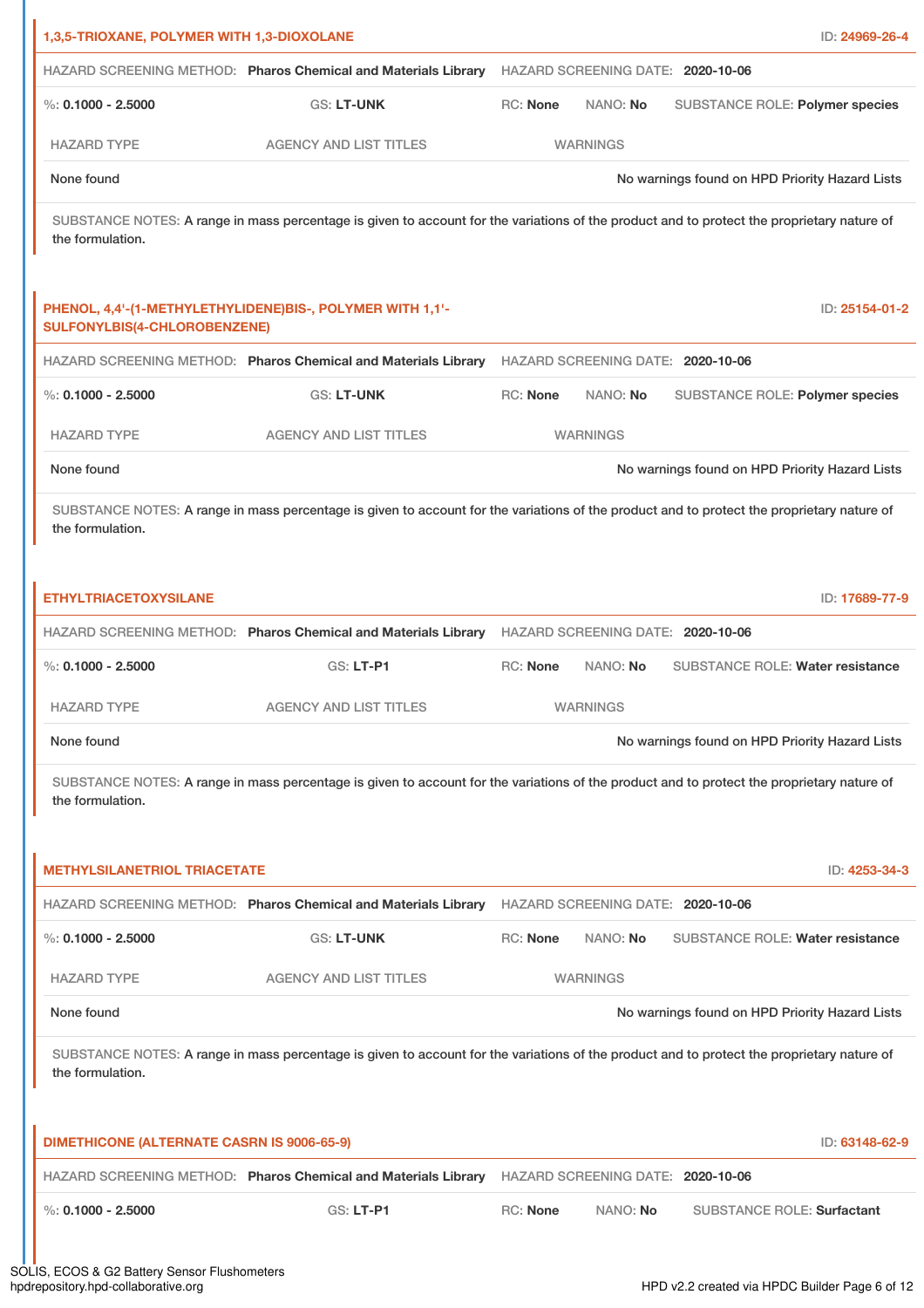| 1,3,5-TRIOXANE, POLYMER WITH 1,3-DIOXOLANE        |                                                                                                                                            |                 |                                   | ID: 24969-26-4                                 |
|---------------------------------------------------|--------------------------------------------------------------------------------------------------------------------------------------------|-----------------|-----------------------------------|------------------------------------------------|
|                                                   | HAZARD SCREENING METHOD: Pharos Chemical and Materials Library                                                                             |                 | HAZARD SCREENING DATE: 2020-10-06 |                                                |
| $\%$ : 0.1000 - 2.5000                            | GS: LT-UNK                                                                                                                                 | <b>RC: None</b> | NANO: No                          | SUBSTANCE ROLE: Polymer species                |
| <b>HAZARD TYPE</b>                                | <b>AGENCY AND LIST TITLES</b>                                                                                                              |                 | <b>WARNINGS</b>                   |                                                |
| None found                                        |                                                                                                                                            |                 |                                   | No warnings found on HPD Priority Hazard Lists |
| the formulation.                                  | SUBSTANCE NOTES: A range in mass percentage is given to account for the variations of the product and to protect the proprietary nature of |                 |                                   |                                                |
| <b>SULFONYLBIS(4-CHLOROBENZENE)</b>               | PHENOL, 4,4'-(1-METHYLETHYLIDENE)BIS-, POLYMER WITH 1,1'-                                                                                  |                 |                                   | ID: 25154-01-2                                 |
|                                                   | HAZARD SCREENING METHOD: Pharos Chemical and Materials Library                                                                             |                 | HAZARD SCREENING DATE: 2020-10-06 |                                                |
| $\%$ : 0.1000 - 2.5000                            | <b>GS: LT-UNK</b>                                                                                                                          | RC: None        | NANO: No                          | SUBSTANCE ROLE: Polymer species                |
| <b>HAZARD TYPE</b>                                | <b>AGENCY AND LIST TITLES</b>                                                                                                              |                 | <b>WARNINGS</b>                   |                                                |
| None found                                        |                                                                                                                                            |                 |                                   | No warnings found on HPD Priority Hazard Lists |
| the formulation.                                  | SUBSTANCE NOTES: A range in mass percentage is given to account for the variations of the product and to protect the proprietary nature of |                 |                                   |                                                |
| <b>ETHYLTRIACETOXYSILANE</b>                      |                                                                                                                                            |                 |                                   | ID: 17689-77-9                                 |
|                                                   | HAZARD SCREENING METHOD: Pharos Chemical and Materials Library HAZARD SCREENING DATE: 2020-10-06                                           |                 |                                   |                                                |
| $\%$ : 0.1000 - 2.5000                            | GS: LT-P1                                                                                                                                  | <b>RC: None</b> | NANO: No                          | <b>SUBSTANCE ROLE: Water resistance</b>        |
| <b>HAZARD TYPE</b>                                | <b>AGENCY AND LIST TITLES</b>                                                                                                              |                 | <b>WARNINGS</b>                   |                                                |
| None found                                        |                                                                                                                                            |                 |                                   | No warnings found on HPD Priority Hazard Lists |
| the formulation.                                  | SUBSTANCE NOTES: A range in mass percentage is given to account for the variations of the product and to protect the proprietary nature of |                 |                                   |                                                |
| <b>METHYLSILANETRIOL TRIACETATE</b>               |                                                                                                                                            |                 |                                   | ID: 4253-34-3                                  |
|                                                   | HAZARD SCREENING METHOD: Pharos Chemical and Materials Library HAZARD SCREENING DATE: 2020-10-06                                           |                 |                                   |                                                |
| %: $0.1000 - 2.5000$                              | <b>GS: LT-UNK</b>                                                                                                                          | RC: None        | NANO: No                          | SUBSTANCE ROLE: Water resistance               |
| <b>HAZARD TYPE</b>                                | <b>AGENCY AND LIST TITLES</b>                                                                                                              |                 | <b>WARNINGS</b>                   |                                                |
| None found                                        |                                                                                                                                            |                 |                                   | No warnings found on HPD Priority Hazard Lists |
| the formulation.                                  | SUBSTANCE NOTES: A range in mass percentage is given to account for the variations of the product and to protect the proprietary nature of |                 |                                   |                                                |
| <b>DIMETHICONE (ALTERNATE CASRN IS 9006-65-9)</b> |                                                                                                                                            |                 |                                   | ID: 63148-62-9                                 |
|                                                   | HAZARD SCREENING METHOD: Pharos Chemical and Materials Library HAZARD SCREENING DATE: 2020-10-06                                           |                 |                                   |                                                |
| %: $0.1000 - 2.5000$                              | GS: LT-P1                                                                                                                                  | <b>RC: None</b> | NANO: No                          | <b>SUBSTANCE ROLE: Surfactant</b>              |
|                                                   |                                                                                                                                            |                 |                                   |                                                |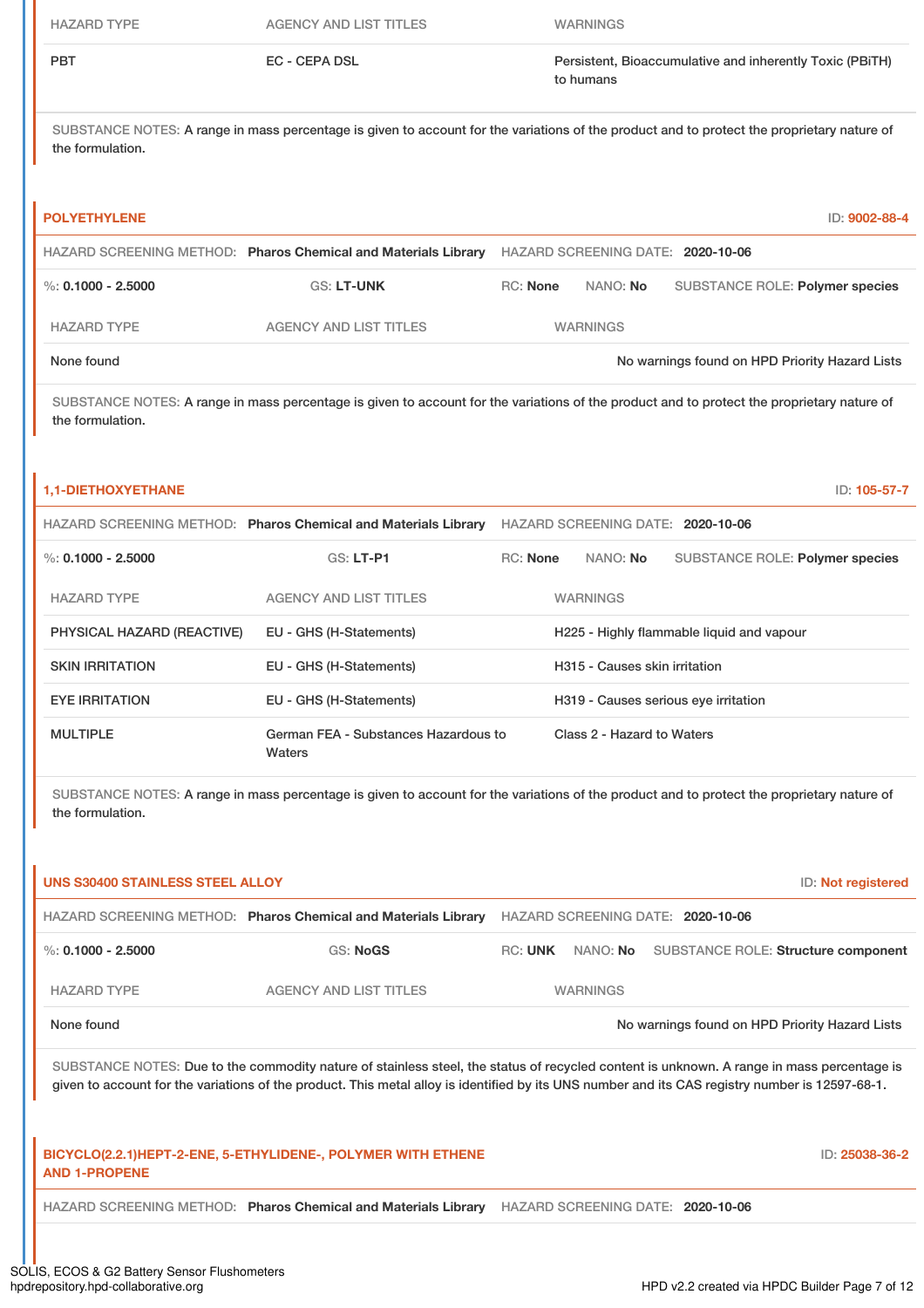| <b>HAZARD TYPE</b>         | <b>AGENCY AND LIST TITLES</b>                                                                                                              |                 | <b>WARNINGS</b>                   |                                           |                                                          |
|----------------------------|--------------------------------------------------------------------------------------------------------------------------------------------|-----------------|-----------------------------------|-------------------------------------------|----------------------------------------------------------|
| <b>PBT</b>                 | <b>EC - CEPA DSL</b>                                                                                                                       |                 | to humans                         |                                           | Persistent, Bioaccumulative and inherently Toxic (PBiTH) |
| the formulation.           | SUBSTANCE NOTES: A range in mass percentage is given to account for the variations of the product and to protect the proprietary nature of |                 |                                   |                                           |                                                          |
| <b>POLYETHYLENE</b>        |                                                                                                                                            |                 |                                   |                                           | ID: 9002-88-4                                            |
|                            | HAZARD SCREENING METHOD: Pharos Chemical and Materials Library                                                                             |                 | HAZARD SCREENING DATE: 2020-10-06 |                                           |                                                          |
| $\%$ : 0.1000 - 2.5000     | <b>GS: LT-UNK</b>                                                                                                                          | <b>RC: None</b> | NANO: No                          |                                           | <b>SUBSTANCE ROLE: Polymer species</b>                   |
| <b>HAZARD TYPE</b>         | <b>AGENCY AND LIST TITLES</b>                                                                                                              |                 | <b>WARNINGS</b>                   |                                           |                                                          |
| None found                 |                                                                                                                                            |                 |                                   |                                           | No warnings found on HPD Priority Hazard Lists           |
|                            |                                                                                                                                            |                 |                                   |                                           |                                                          |
| the formulation.           | SUBSTANCE NOTES: A range in mass percentage is given to account for the variations of the product and to protect the proprietary nature of |                 |                                   |                                           |                                                          |
| <b>1,1-DIETHOXYETHANE</b>  |                                                                                                                                            |                 |                                   |                                           | ID: 105-57-7                                             |
|                            | HAZARD SCREENING METHOD: Pharos Chemical and Materials Library                                                                             |                 | HAZARD SCREENING DATE: 2020-10-06 |                                           |                                                          |
| $\%$ : 0.1000 - 2.5000     | GS: LT-P1                                                                                                                                  | RC: None        | NANO: No                          |                                           | SUBSTANCE ROLE: Polymer species                          |
| <b>HAZARD TYPE</b>         | <b>AGENCY AND LIST TITLES</b>                                                                                                              |                 | <b>WARNINGS</b>                   |                                           |                                                          |
| PHYSICAL HAZARD (REACTIVE) | EU - GHS (H-Statements)                                                                                                                    |                 |                                   | H225 - Highly flammable liquid and vapour |                                                          |
| <b>SKIN IRRITATION</b>     | EU - GHS (H-Statements)                                                                                                                    |                 | H315 - Causes skin irritation     |                                           |                                                          |
| <b>EYE IRRITATION</b>      | EU - GHS (H-Statements)                                                                                                                    |                 |                                   | H319 - Causes serious eye irritation      |                                                          |

| <b>UNS S30400 STAINLESS STEEL ALLOY</b> |                                                                                                                                                                                                                                                                                              |                                   |                 |                                                | ID: Not registered |
|-----------------------------------------|----------------------------------------------------------------------------------------------------------------------------------------------------------------------------------------------------------------------------------------------------------------------------------------------|-----------------------------------|-----------------|------------------------------------------------|--------------------|
|                                         | HAZARD SCREENING METHOD: Pharos Chemical and Materials Library                                                                                                                                                                                                                               | HAZARD SCREENING DATE: 2020-10-06 |                 |                                                |                    |
| %: $0.1000 - 2.5000$                    | <b>GS: NoGS</b>                                                                                                                                                                                                                                                                              | RC: UNK                           |                 | NANO: No SUBSTANCE ROLE: Structure component   |                    |
| <b>HAZARD TYPE</b>                      | <b>AGENCY AND LIST TITLES</b>                                                                                                                                                                                                                                                                |                                   | <b>WARNINGS</b> |                                                |                    |
| None found                              |                                                                                                                                                                                                                                                                                              |                                   |                 | No warnings found on HPD Priority Hazard Lists |                    |
|                                         | SUBSTANCE NOTES: Due to the commodity nature of stainless steel, the status of recycled content is unknown. A range in mass percentage is<br>given to account for the variations of the product. This metal alloy is identified by its UNS number and its CAS registry number is 12597-68-1. |                                   |                 |                                                |                    |
| <b>AND 1-PROPENE</b>                    | BICYCLO(2.2.1) HEPT-2-ENE, 5-ETHYLIDENE-, POLYMER WITH ETHENE                                                                                                                                                                                                                                |                                   |                 |                                                | ID: 25038-36-2     |
|                                         | HAZARD SCREENING METHOD: Pharos Chemical and Materials Library                                                                                                                                                                                                                               |                                   |                 | HAZARD SCREENING DATE: 2020-10-06              |                    |
|                                         |                                                                                                                                                                                                                                                                                              |                                   |                 |                                                |                    |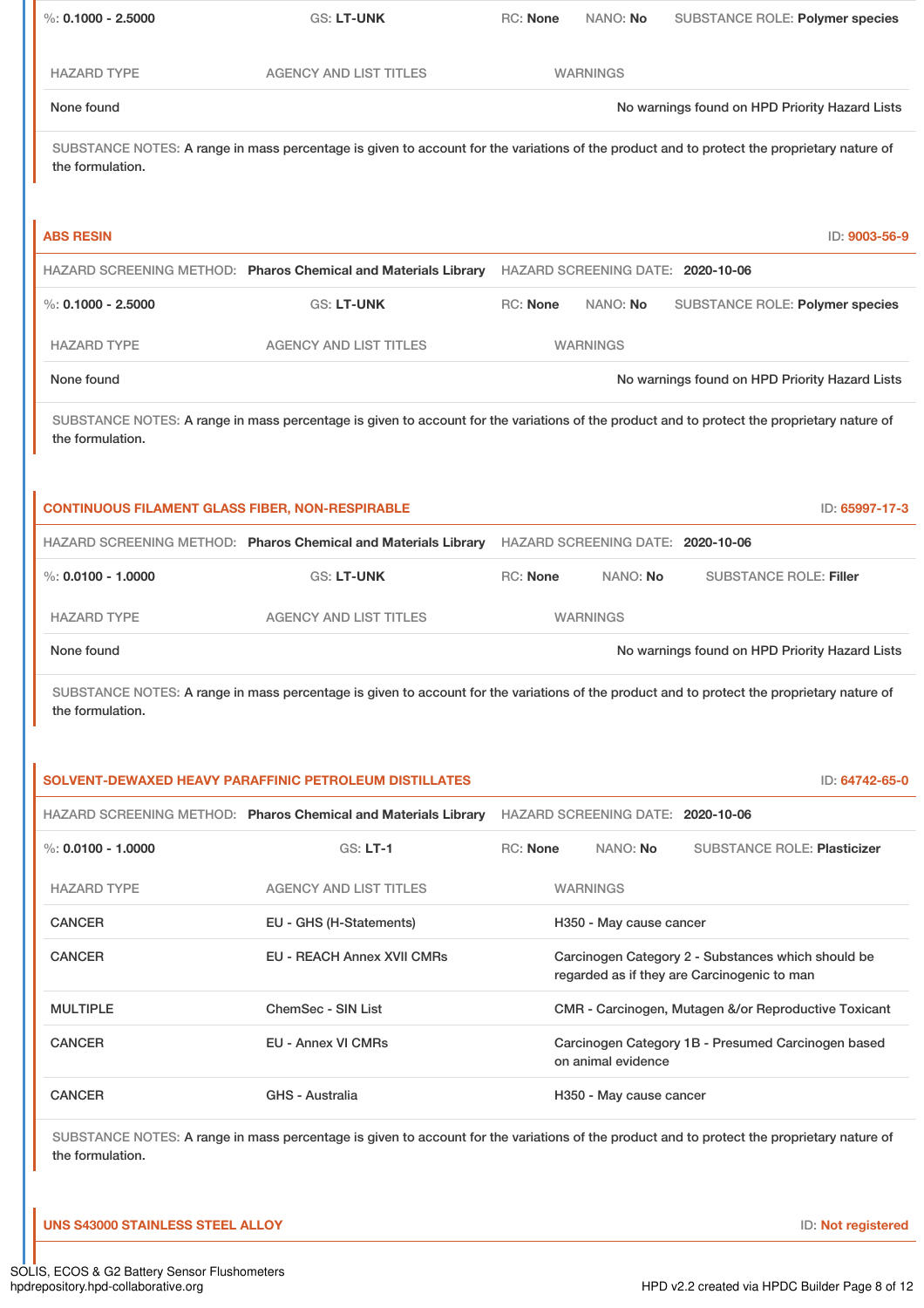| %: $0.1000 - 2.5000$                                   | <b>GS: LT-UNK</b>                                                                                                                          | RC: None        | NANO: No                          |                                                                                                   | SUBSTANCE ROLE: Polymer species                      |
|--------------------------------------------------------|--------------------------------------------------------------------------------------------------------------------------------------------|-----------------|-----------------------------------|---------------------------------------------------------------------------------------------------|------------------------------------------------------|
| <b>HAZARD TYPE</b>                                     | <b>AGENCY AND LIST TITLES</b>                                                                                                              |                 | <b>WARNINGS</b>                   |                                                                                                   |                                                      |
| None found                                             |                                                                                                                                            |                 |                                   |                                                                                                   | No warnings found on HPD Priority Hazard Lists       |
| the formulation.                                       | SUBSTANCE NOTES: A range in mass percentage is given to account for the variations of the product and to protect the proprietary nature of |                 |                                   |                                                                                                   |                                                      |
| <b>ABS RESIN</b>                                       |                                                                                                                                            |                 |                                   |                                                                                                   | ID: 9003-56-9                                        |
|                                                        | HAZARD SCREENING METHOD: Pharos Chemical and Materials Library                                                                             |                 | HAZARD SCREENING DATE: 2020-10-06 |                                                                                                   |                                                      |
| %: $0.1000 - 2.5000$                                   | <b>GS: LT-UNK</b>                                                                                                                          | <b>RC: None</b> | NANO: No                          |                                                                                                   | SUBSTANCE ROLE: Polymer species                      |
| <b>HAZARD TYPE</b>                                     | <b>AGENCY AND LIST TITLES</b>                                                                                                              |                 | <b>WARNINGS</b>                   |                                                                                                   |                                                      |
| None found                                             |                                                                                                                                            |                 |                                   |                                                                                                   | No warnings found on HPD Priority Hazard Lists       |
| the formulation.                                       | SUBSTANCE NOTES: A range in mass percentage is given to account for the variations of the product and to protect the proprietary nature of |                 |                                   |                                                                                                   |                                                      |
| <b>CONTINUOUS FILAMENT GLASS FIBER, NON-RESPIRABLE</b> |                                                                                                                                            |                 |                                   |                                                                                                   | ID: 65997-17-3                                       |
|                                                        | HAZARD SCREENING METHOD: Pharos Chemical and Materials Library                                                                             |                 | HAZARD SCREENING DATE: 2020-10-06 |                                                                                                   |                                                      |
| %: $0.0100 - 1.0000$                                   | <b>GS: LT-UNK</b>                                                                                                                          | <b>RC: None</b> | NANO: No                          |                                                                                                   | <b>SUBSTANCE ROLE: Filler</b>                        |
| <b>HAZARD TYPE</b>                                     | <b>AGENCY AND LIST TITLES</b>                                                                                                              |                 | <b>WARNINGS</b>                   |                                                                                                   |                                                      |
| None found                                             |                                                                                                                                            |                 |                                   |                                                                                                   | No warnings found on HPD Priority Hazard Lists       |
| the formulation.                                       | SUBSTANCE NOTES: A range in mass percentage is given to account for the variations of the product and to protect the proprietary nature of |                 |                                   |                                                                                                   |                                                      |
|                                                        | <b>SOLVENT-DEWAXED HEAVY PARAFFINIC PETROLEUM DISTILLATES</b>                                                                              |                 |                                   |                                                                                                   | ID: 64742-65-0                                       |
|                                                        | HAZARD SCREENING METHOD: Pharos Chemical and Materials Library                                                                             |                 | HAZARD SCREENING DATE: 2020-10-06 |                                                                                                   |                                                      |
| %: $0.0100 - 1.0000$                                   | <b>GS: LT-1</b>                                                                                                                            | RC: None        | NANO: No                          |                                                                                                   | <b>SUBSTANCE ROLE: Plasticizer</b>                   |
| <b>HAZARD TYPE</b>                                     | <b>AGENCY AND LIST TITLES</b>                                                                                                              |                 | <b>WARNINGS</b>                   |                                                                                                   |                                                      |
| <b>CANCER</b>                                          | EU - GHS (H-Statements)                                                                                                                    |                 | H350 - May cause cancer           |                                                                                                   |                                                      |
| <b>CANCER</b>                                          | <b>EU - REACH Annex XVII CMRs</b>                                                                                                          |                 |                                   | Carcinogen Category 2 - Substances which should be<br>regarded as if they are Carcinogenic to man |                                                      |
| <b>MULTIPLE</b>                                        | <b>ChemSec - SIN List</b>                                                                                                                  |                 |                                   |                                                                                                   | CMR - Carcinogen, Mutagen &/or Reproductive Toxicant |
| <b>CANCER</b>                                          | <b>EU - Annex VI CMRs</b>                                                                                                                  |                 | on animal evidence                |                                                                                                   | Carcinogen Category 1B - Presumed Carcinogen based   |
| <b>CANCER</b>                                          | <b>GHS - Australia</b>                                                                                                                     |                 | H350 - May cause cancer           |                                                                                                   |                                                      |
| the formulation.                                       | SUBSTANCE NOTES: A range in mass percentage is given to account for the variations of the product and to protect the proprietary nature of |                 |                                   |                                                                                                   |                                                      |

**UNS S43000 STAINLESS STEEL ALLOY** ID: **Not registered**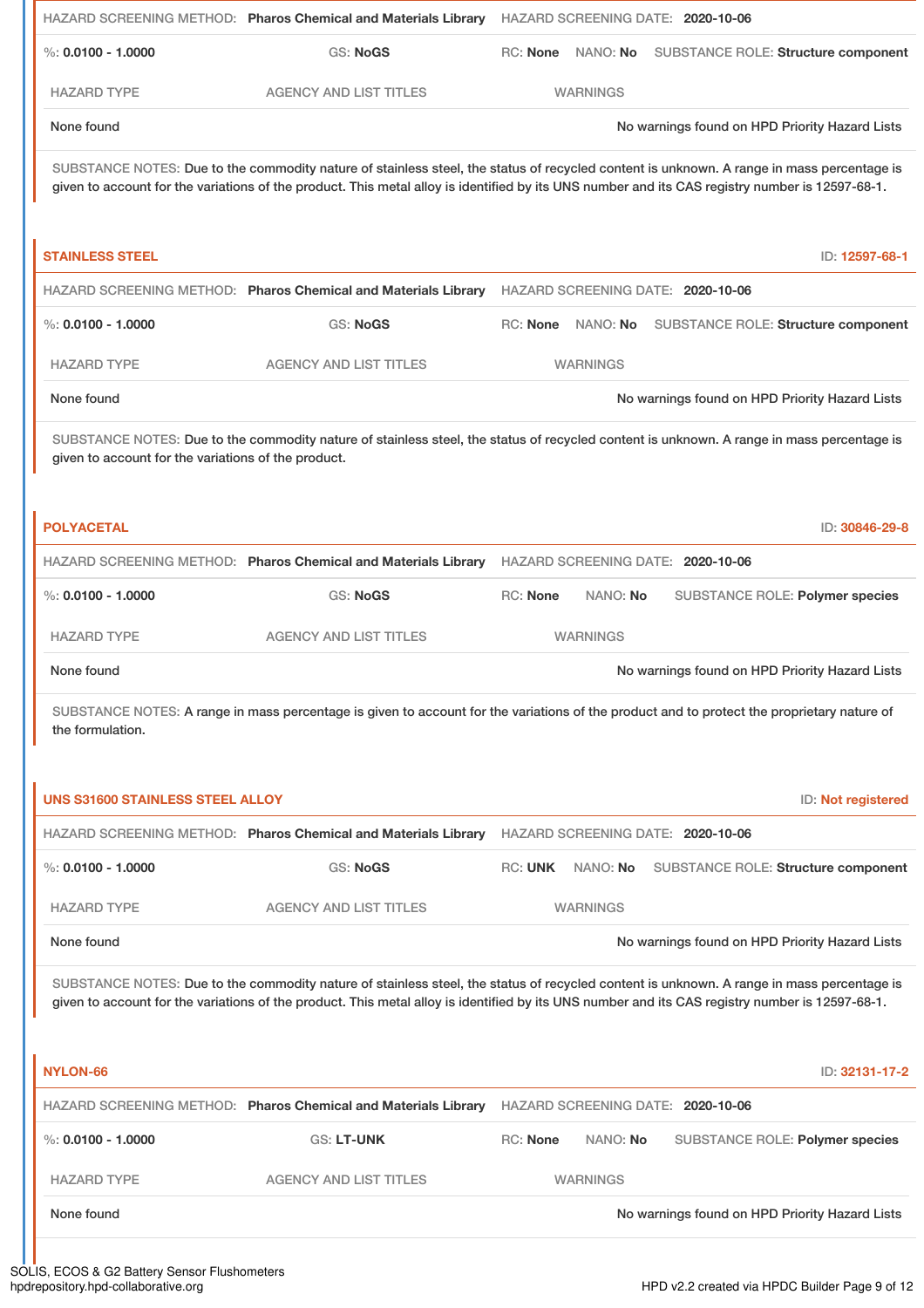|                                                     | HAZARD SCREENING METHOD: Pharos Chemical and Materials Library                                                                                                                                                                                                                               |                   |                 | HAZARD SCREENING DATE: 2020-10-06 |                                                |
|-----------------------------------------------------|----------------------------------------------------------------------------------------------------------------------------------------------------------------------------------------------------------------------------------------------------------------------------------------------|-------------------|-----------------|-----------------------------------|------------------------------------------------|
| $\%$ : 0.0100 - 1.0000                              | <b>GS: NoGS</b>                                                                                                                                                                                                                                                                              | RC: None          | NANO: No        |                                   | <b>SUBSTANCE ROLE: Structure component</b>     |
| <b>HAZARD TYPE</b>                                  | <b>AGENCY AND LIST TITLES</b>                                                                                                                                                                                                                                                                |                   | <b>WARNINGS</b> |                                   |                                                |
| None found                                          |                                                                                                                                                                                                                                                                                              |                   |                 |                                   | No warnings found on HPD Priority Hazard Lists |
|                                                     | SUBSTANCE NOTES: Due to the commodity nature of stainless steel, the status of recycled content is unknown. A range in mass percentage is<br>given to account for the variations of the product. This metal alloy is identified by its UNS number and its CAS registry number is 12597-68-1. |                   |                 |                                   |                                                |
| <b>STAINLESS STEEL</b>                              |                                                                                                                                                                                                                                                                                              |                   |                 |                                   | ID: 12597-68-1                                 |
|                                                     | HAZARD SCREENING METHOD: Pharos Chemical and Materials Library                                                                                                                                                                                                                               |                   |                 | HAZARD SCREENING DATE: 2020-10-06 |                                                |
| %: $0.0100 - 1.0000$                                | <b>GS: NoGS</b>                                                                                                                                                                                                                                                                              | RC: None NANO: No |                 |                                   | SUBSTANCE ROLE: Structure component            |
| <b>HAZARD TYPE</b>                                  | <b>AGENCY AND LIST TITLES</b>                                                                                                                                                                                                                                                                |                   | <b>WARNINGS</b> |                                   |                                                |
| None found                                          |                                                                                                                                                                                                                                                                                              |                   |                 |                                   | No warnings found on HPD Priority Hazard Lists |
| given to account for the variations of the product. | SUBSTANCE NOTES: Due to the commodity nature of stainless steel, the status of recycled content is unknown. A range in mass percentage is                                                                                                                                                    |                   |                 |                                   |                                                |
| <b>POLYACETAL</b>                                   |                                                                                                                                                                                                                                                                                              |                   |                 |                                   | ID: 30846-29-8                                 |
|                                                     | HAZARD SCREENING METHOD: Pharos Chemical and Materials Library                                                                                                                                                                                                                               |                   |                 | HAZARD SCREENING DATE: 2020-10-06 |                                                |
| %: $0.0100 - 1.0000$                                | <b>GS: NoGS</b>                                                                                                                                                                                                                                                                              | RC: None          | NANO: No        |                                   | SUBSTANCE ROLE: Polymer species                |
| <b>HAZARD TYPE</b>                                  | <b>AGENCY AND LIST TITLES</b>                                                                                                                                                                                                                                                                |                   | <b>WARNINGS</b> |                                   |                                                |
| None found                                          |                                                                                                                                                                                                                                                                                              |                   |                 |                                   | No warnings found on HPD Priority Hazard Lists |
| the formulation.                                    | SUBSTANCE NOTES: A range in mass percentage is given to account for the variations of the product and to protect the proprietary nature of                                                                                                                                                   |                   |                 |                                   |                                                |
| <b>UNS S31600 STAINLESS STEEL ALLOY</b>             |                                                                                                                                                                                                                                                                                              |                   |                 |                                   | ID: Not registered                             |
|                                                     | HAZARD SCREENING METHOD: Pharos Chemical and Materials Library                                                                                                                                                                                                                               |                   |                 | HAZARD SCREENING DATE: 2020-10-06 |                                                |
| $\%$ : 0.0100 - 1.0000                              | <b>GS: NoGS</b>                                                                                                                                                                                                                                                                              | <b>RC: UNK</b>    | NANO: No        |                                   | SUBSTANCE ROLE: Structure component            |
| <b>HAZARD TYPE</b>                                  | <b>AGENCY AND LIST TITLES</b>                                                                                                                                                                                                                                                                |                   | <b>WARNINGS</b> |                                   |                                                |
| None found                                          |                                                                                                                                                                                                                                                                                              |                   |                 |                                   | No warnings found on HPD Priority Hazard Lists |
|                                                     | SUBSTANCE NOTES: Due to the commodity nature of stainless steel, the status of recycled content is unknown. A range in mass percentage is<br>given to account for the variations of the product. This metal alloy is identified by its UNS number and its CAS registry number is 12597-68-1. |                   |                 |                                   |                                                |
| NYLON-66                                            |                                                                                                                                                                                                                                                                                              |                   |                 |                                   | ID: 32131-17-2                                 |
|                                                     | HAZARD SCREENING METHOD: Pharos Chemical and Materials Library                                                                                                                                                                                                                               |                   |                 | HAZARD SCREENING DATE: 2020-10-06 |                                                |
| $\%$ : 0.0100 - 1.0000                              | <b>GS: LT-UNK</b>                                                                                                                                                                                                                                                                            | <b>RC: None</b>   | NANO: No        |                                   | SUBSTANCE ROLE: Polymer species                |
| <b>HAZARD TYPE</b>                                  | <b>AGENCY AND LIST TITLES</b>                                                                                                                                                                                                                                                                |                   | <b>WARNINGS</b> |                                   |                                                |
| None found                                          |                                                                                                                                                                                                                                                                                              |                   |                 |                                   | No warnings found on HPD Priority Hazard Lists |
|                                                     |                                                                                                                                                                                                                                                                                              |                   |                 |                                   |                                                |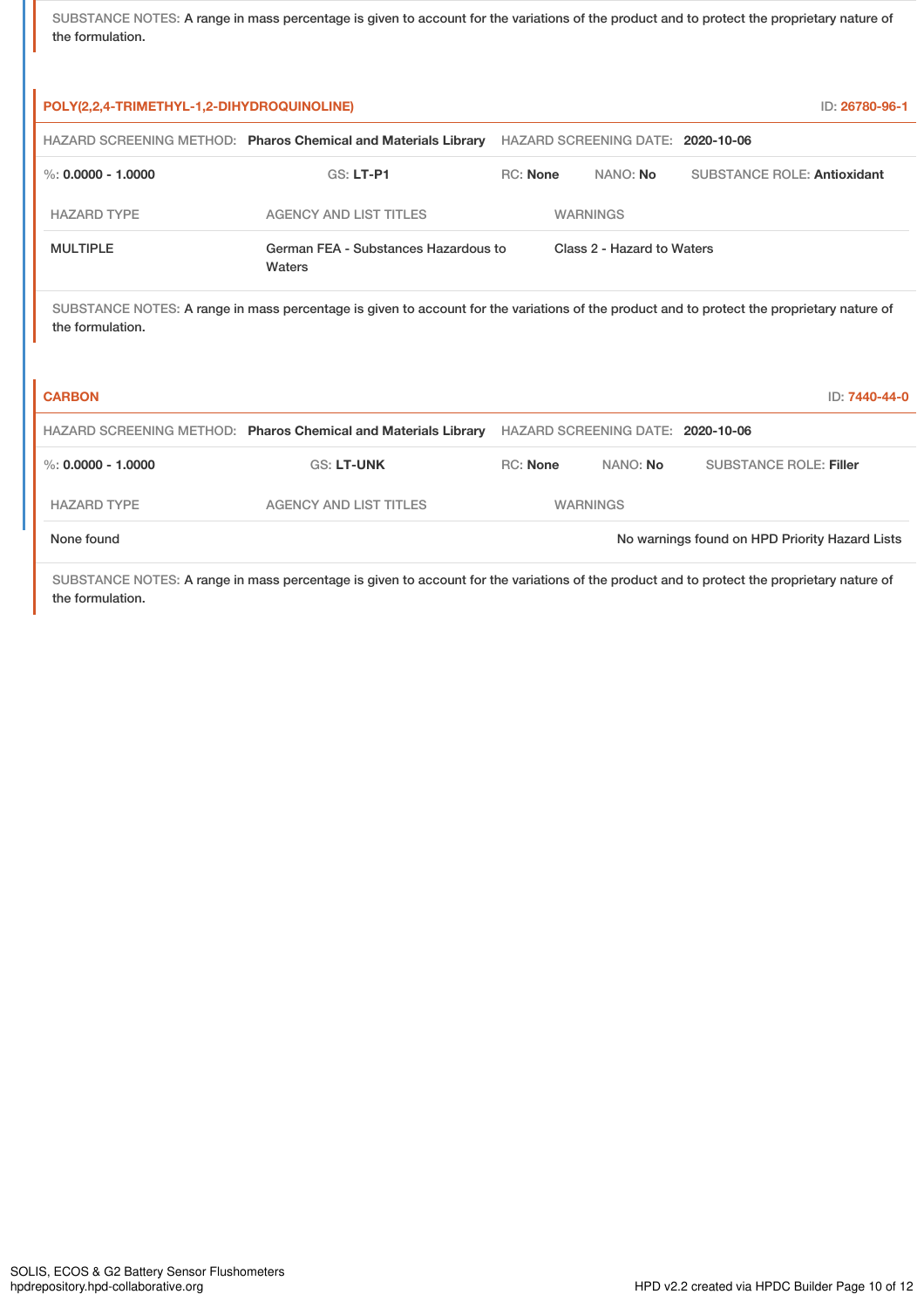SUBSTANCE NOTES: A range in mass percentage is given to account for the variations of the product and to protect the proprietary nature of the formulation.

| POLY(2,2,4-TRIMETHYL-1,2-DIHYDROQUINOLINE) |                                                                                                                                            |                 |                                   | ID: 26780-96-1                     |
|--------------------------------------------|--------------------------------------------------------------------------------------------------------------------------------------------|-----------------|-----------------------------------|------------------------------------|
|                                            | HAZARD SCREENING METHOD: Pharos Chemical and Materials Library                                                                             |                 | HAZARD SCREENING DATE: 2020-10-06 |                                    |
| %: $0.0000 - 1.0000$                       | $GS: LT-P1$                                                                                                                                | <b>RC:</b> None | NANO: No                          | <b>SUBSTANCE ROLE: Antioxidant</b> |
| <b>HAZARD TYPE</b>                         | <b>AGENCY AND LIST TITLES</b>                                                                                                              |                 | <b>WARNINGS</b>                   |                                    |
| <b>MULTIPLE</b>                            | German FEA - Substances Hazardous to<br>Waters                                                                                             |                 | Class 2 - Hazard to Waters        |                                    |
| the formulation.                           | SUBSTANCE NOTES: A range in mass percentage is given to account for the variations of the product and to protect the proprietary nature of |                 |                                   |                                    |
| <b>CARBON</b>                              |                                                                                                                                            |                 |                                   | ID: 7440-44-0                      |
|                                            | HAZARD SCREENING METHOD: Pharos Chemical and Materials Library                                                                             |                 | HAZARD SCREENING DATE: 2020-10-06 |                                    |
| %: $0.0000 - 1.0000$                       | <b>GS: LT-UNK</b>                                                                                                                          | <b>RC:</b> None | NANO: No                          | <b>SUBSTANCE ROLE: Filler</b>      |

HAZARD TYPE AGENCY AND LIST TITLES WARNINGS

None found Now are the United States of the November of November 2012 No warnings found on HPD Priority Hazard Lists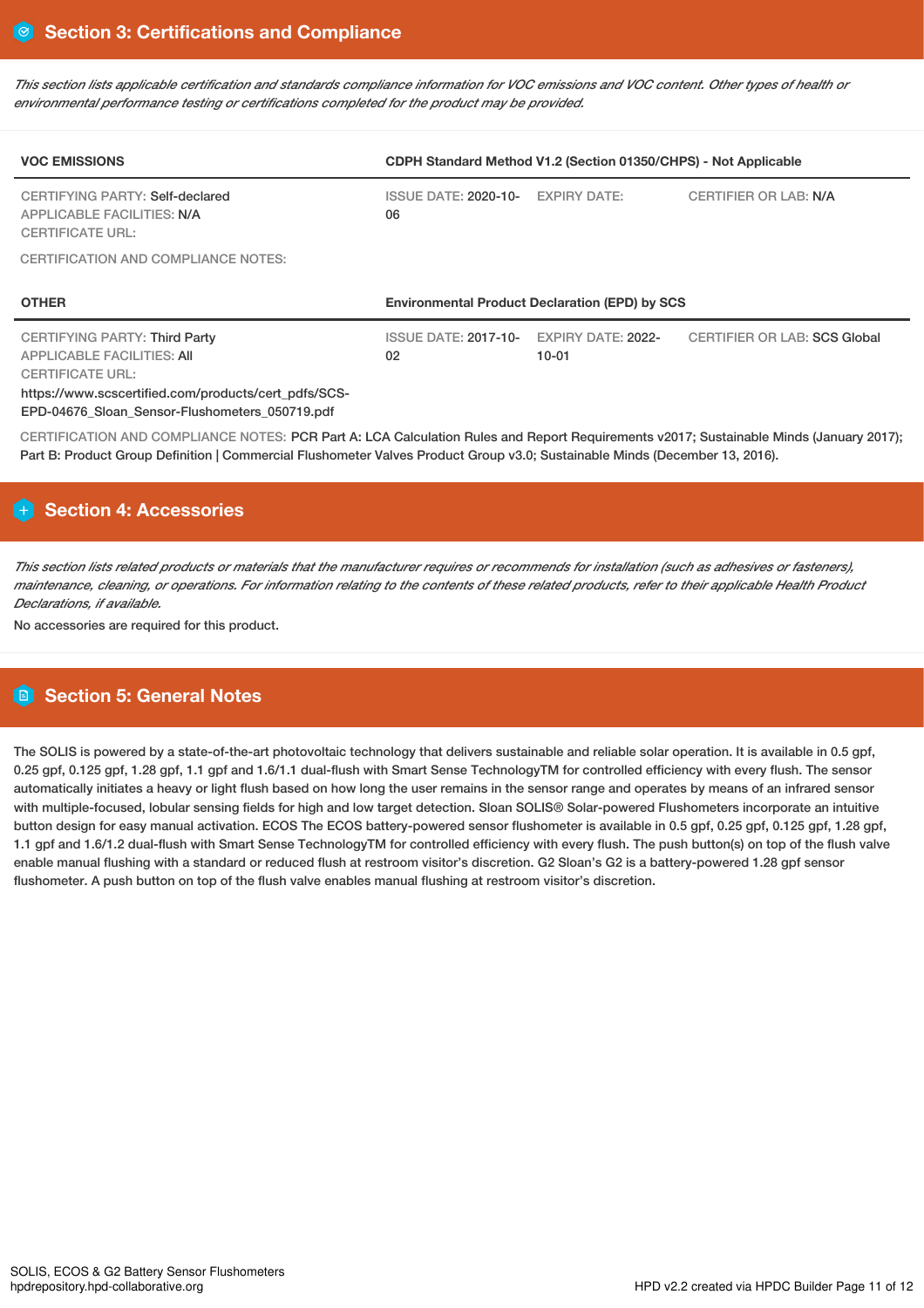This section lists applicable certification and standards compliance information for VOC emissions and VOC content. Other types of health or *environmental performance testing or certifications completed for the product may be provided.*

| <b>VOC EMISSIONS</b>                                                                                                                                                                                           | CDPH Standard Method V1.2 (Section 01350/CHPS) - Not Applicable |                                                       |                              |  |  |
|----------------------------------------------------------------------------------------------------------------------------------------------------------------------------------------------------------------|-----------------------------------------------------------------|-------------------------------------------------------|------------------------------|--|--|
| CERTIFYING PARTY: Self-declared<br><b>APPLICABLE FACILITIES: N/A</b><br><b>CERTIFICATE URL:</b>                                                                                                                | <b>ISSUE DATE: 2020-10-</b><br>06                               | <b>EXPIRY DATE:</b>                                   | <b>CERTIFIER OR LAB: N/A</b> |  |  |
| CERTIFICATION AND COMPLIANCE NOTES:                                                                                                                                                                            |                                                                 |                                                       |                              |  |  |
| <b>OTHER</b>                                                                                                                                                                                                   |                                                                 | <b>Environmental Product Declaration (EPD) by SCS</b> |                              |  |  |
| <b>CERTIFYING PARTY: Third Party</b><br><b>APPLICABLE FACILITIES: AII</b><br><b>CERTIFICATE URL:</b><br>https://www.scscertified.com/products/cert_pdfs/SCS-<br>EPD-04676 Sloan Sensor-Flushometers 050719.pdf | <b>ISSUE DATE: 2017-10-</b><br>02 <sub>2</sub>                  | EXPIRY DATE: 2022-<br>$10 - 01$                       | CERTIFIER OR LAB: SCS Global |  |  |

CERTIFICATION AND COMPLIANCE NOTES: PCR Part A: LCA Calculation Rules and Report Requirements v2017; Sustainable Minds (January 2017); Part B: Product Group Definition | Commercial Flushometer Valves Product Group v3.0; Sustainable Minds (December 13, 2016).

# **H** Section 4: Accessories

This section lists related products or materials that the manufacturer requires or recommends for installation (such as adhesives or fasteners), maintenance, cleaning, or operations. For information relating to the contents of these related products, refer to their applicable Health Product *Declarations, if available.*

No accessories are required for this product.

# **Section 5: General Notes**

The SOLIS is powered by a state-of-the-art photovoltaic technology that delivers sustainable and reliable solar operation. It is available in 0.5 gpf, 0.25 gpf, 0.125 gpf, 1.28 gpf, 1.1 gpf and 1.6/1.1 dual-flush with Smart Sense TechnologyTM for controlled efficiency with every flush. The sensor automatically initiates a heavy or light flush based on how long the user remains in the sensor range and operates by means of an infrared sensor with multiple-focused, lobular sensing fields for high and low target detection. Sloan SOLIS® Solar-powered Flushometers incorporate an intuitive button design for easy manual activation. ECOS The ECOS battery-powered sensor flushometer is available in 0.5 gpf, 0.25 gpf, 0.125 gpf, 1.28 gpf, 1.1 gpf and 1.6/1.2 dual-flush with Smart Sense TechnologyTM for controlled efficiency with every flush. The push button(s) on top of the flush valve enable manual flushing with a standard or reduced flush at restroom visitor's discretion. G2 Sloan's G2 is a battery-powered 1.28 gpf sensor flushometer. A push button on top of the flush valve enables manual flushing at restroom visitor's discretion.